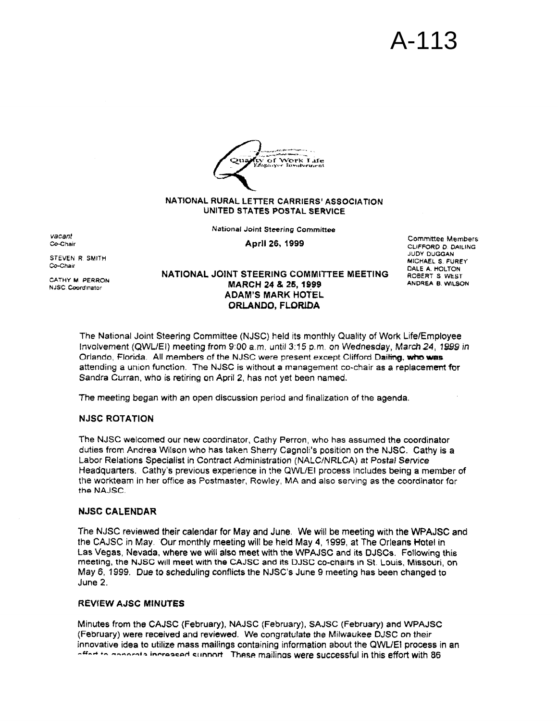# A-113



## **NATIONAL RURAL LE7TER CARRIERS' ASSOCIATION UNITED STATES POSTAL SERVICE**

**National Joint Steering Committee** 

**STEVEN R SMITH =hair** 

*vacant*  Co-Chair

**CATHY M PERRON NJSC brdinator** 

**Aptll 26, 1999** Cornmrttee **Members CLIFFORD** *0* **OAlLlNG JUDY DUGGAN MICHAEL S FUREY DALE A HOLTON ROBERT s WEST ANDREA B** WILSON

**NATIONAL JOINT STEERING COMMI'ITEE MEETING ADAM'S MARK HOTEL ORLANDO, FLORLDA MARCH 24** *4%* **26,1999** 

**The Nationat Joint Steering** Committee **(NJSC) held its** monthly Quality of Work LifelEmployee Involvement (QWVEI) **meeting from** *9:QO* a.m. **untii 3:15** pm. **on Wednesday, March24,** *IS39 in*  **Orlando, Florida. All members** *of* **the** NJSC **were present except** Clifford **Daiting,** uutm **lyas attending a** union function. The **NJSC is** without **a** management **co-chair as a replacement for Sandra** Curran, **who is retiring on** April **2,** has not yet **been named.** 

The **meeting began with an open discussion period and finalization** of **the agenda.** 

## **NJSC ROTATION**

**The NJSC welcomed our new** coordinator, **Cathy** Perron, who **has assumed the coordinator duties** from **Andrea** Wiison who **has taken** Sherry **Cognoli's position on the NJSC. Cathy** is **a**  Labor **Relations Specialist** in Contract **Administration (NALCfNRLCA)** *at Postal* **Service Headquarters. Cathy's previous experience in the** QWLiEl **process includes being a member of**  the **workteam in her** office **as** Postmaster, Rowley, **MA and also** serving **as the coordinator** for the **NAJSC.** 

# **NJSC CALENDAR**

**The NJSC reviewed their calendar for May and June. We will be meeting** with the **WPAJSC and the CAJSC in** May. **Our monthly meeting will be held May 4, 1999, at The Orleans Hotel in Las Vegas, Nevada, where we will also meet with the WPAJSC and its DJSCs. Fallowing this meeting, the NJSC wfll meet with the CAJSC and its DJSC Co-chaktS** in **St. Louis, Missouri, on May 6, 1999.** Due to **scheduling conflicts the NJSC's** June **9** meeting **has been changed to June 2.** 

## **REVtEW AJSC MfNUTES**

**Minutes from the CAJSC (February), NAJSC (February), SAJSC (February) and WAJSC (February) were received and reviewed. We congratulate the Milwaukee DJSC on their innovative idea to utilize mass mailings containing information about** the **QWUEI process** in **an -a-d** +- **----p-+= inwaacod cttnnnrt These mailinas were successful in this effort with 86**